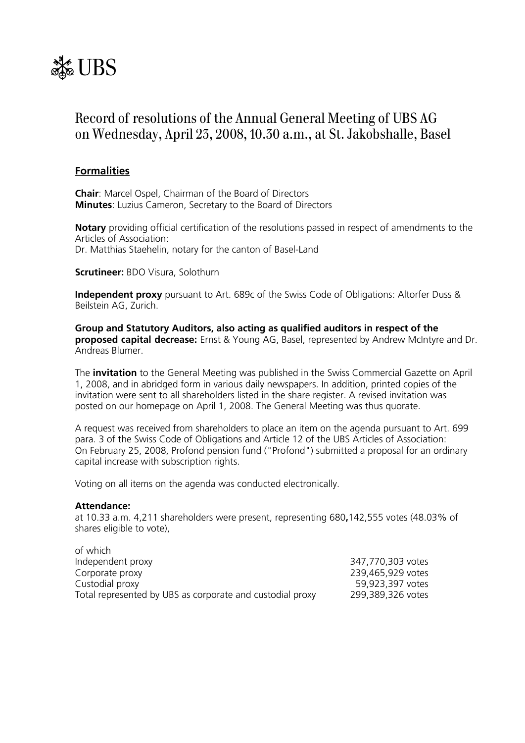

# Record of resolutions of the Annual General Meeting of UBS AG on Wednesday, April 23, 2008, 10.30 a.m., at St. Jakobshalle, Basel

# **Formalities**

**Chair**: Marcel Ospel, Chairman of the Board of Directors **Minutes**: Luzius Cameron, Secretary to the Board of Directors

**Notary** providing official certification of the resolutions passed in respect of amendments to the Articles of Association: Dr. Matthias Staehelin, notary for the canton of Basel-Land

**Scrutineer:** BDO Visura, Solothurn

**Independent proxy** pursuant to Art. 689c of the Swiss Code of Obligations: Altorfer Duss & Beilstein AG, Zurich.

**Group and Statutory Auditors, also acting as qualified auditors in respect of the proposed capital decrease:** Ernst & Young AG, Basel, represented by Andrew McIntyre and Dr. Andreas Blumer.

The **invitation** to the General Meeting was published in the Swiss Commercial Gazette on April 1, 2008, and in abridged form in various daily newspapers. In addition, printed copies of the invitation were sent to all shareholders listed in the share register. A revised invitation was posted on our homepage on April 1, 2008. The General Meeting was thus quorate.

A request was received from shareholders to place an item on the agenda pursuant to Art. 699 para. 3 of the Swiss Code of Obligations and Article 12 of the UBS Articles of Association: On February 25, 2008, Profond pension fund ("Profond") submitted a proposal for an ordinary capital increase with subscription rights.

Voting on all items on the agenda was conducted electronically.

#### **Attendance:**

at 10.33 a.m. 4,211 shareholders were present, representing 680**,**142,555 votes (48.03% of shares eligible to vote),

| of which                                                  |                   |
|-----------------------------------------------------------|-------------------|
| Independent proxy                                         | 347,770,303 votes |
| Corporate proxy                                           | 239,465,929 votes |
| Custodial proxy                                           | 59,923,397 votes  |
| Total represented by UBS as corporate and custodial proxy | 299,389,326 votes |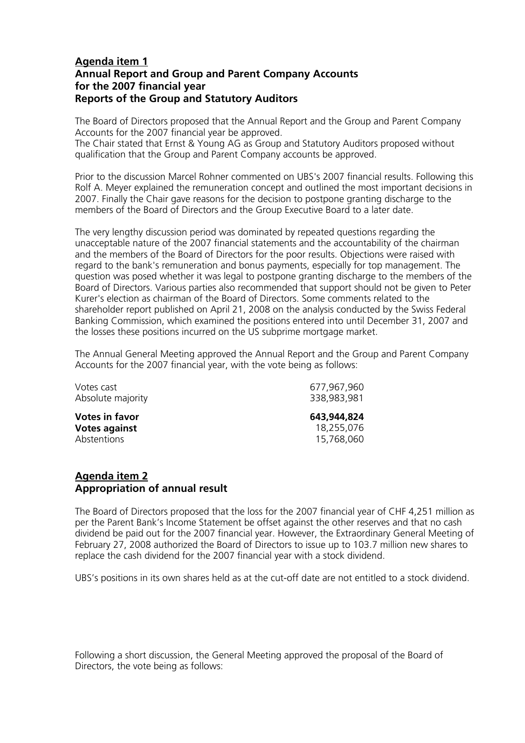# **Agenda item 1 Annual Report and Group and Parent Company Accounts for the 2007 financial year Reports of the Group and Statutory Auditors**

The Board of Directors proposed that the Annual Report and the Group and Parent Company Accounts for the 2007 financial year be approved. The Chair stated that Ernst & Young AG as Group and Statutory Auditors proposed without

qualification that the Group and Parent Company accounts be approved.

Prior to the discussion Marcel Rohner commented on UBS's 2007 financial results. Following this Rolf A. Meyer explained the remuneration concept and outlined the most important decisions in 2007. Finally the Chair gave reasons for the decision to postpone granting discharge to the members of the Board of Directors and the Group Executive Board to a later date.

The very lengthy discussion period was dominated by repeated questions regarding the unacceptable nature of the 2007 financial statements and the accountability of the chairman and the members of the Board of Directors for the poor results. Objections were raised with regard to the bank's remuneration and bonus payments, especially for top management. The question was posed whether it was legal to postpone granting discharge to the members of the Board of Directors. Various parties also recommended that support should not be given to Peter Kurer's election as chairman of the Board of Directors. Some comments related to the shareholder report published on April 21, 2008 on the analysis conducted by the Swiss Federal Banking Commission, which examined the positions entered into until December 31, 2007 and the losses these positions incurred on the US subprime mortgage market.

The Annual General Meeting approved the Annual Report and the Group and Parent Company Accounts for the 2007 financial year, with the vote being as follows:

| Votes cast            | 677,967,960 |
|-----------------------|-------------|
| Absolute majority     | 338,983,981 |
| <b>Votes in favor</b> | 643,944,824 |
| <b>Votes against</b>  | 18,255,076  |
| Abstentions           | 15,768,060  |

# **Agenda item 2 Appropriation of annual result**

The Board of Directors proposed that the loss for the 2007 financial year of CHF 4,251 million as per the Parent Bank's Income Statement be offset against the other reserves and that no cash dividend be paid out for the 2007 financial year. However, the Extraordinary General Meeting of February 27, 2008 authorized the Board of Directors to issue up to 103.7 million new shares to replace the cash dividend for the 2007 financial year with a stock dividend.

UBS's positions in its own shares held as at the cut-off date are not entitled to a stock dividend.

Following a short discussion, the General Meeting approved the proposal of the Board of Directors, the vote being as follows: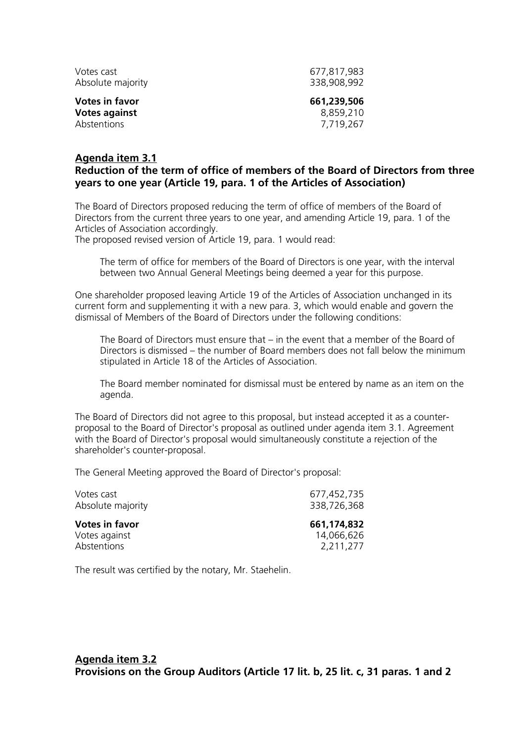| Votes cast            | 677,817,983 |
|-----------------------|-------------|
| Absolute majority     | 338,908,992 |
| <b>Votes in favor</b> | 661,239,506 |
| <b>Votes against</b>  | 8,859,210   |
| Abstentions           | 7,719,267   |

# **Agenda item 3.1 Reduction of the term of office of members of the Board of Directors from three years to one year (Article 19, para. 1 of the Articles of Association)**

The Board of Directors proposed reducing the term of office of members of the Board of Directors from the current three years to one year, and amending Article 19, para. 1 of the Articles of Association accordingly.

The proposed revised version of Article 19, para. 1 would read:

 The term of office for members of the Board of Directors is one year, with the interval between two Annual General Meetings being deemed a year for this purpose.

One shareholder proposed leaving Article 19 of the Articles of Association unchanged in its current form and supplementing it with a new para. 3, which would enable and govern the dismissal of Members of the Board of Directors under the following conditions:

The Board of Directors must ensure that – in the event that a member of the Board of Directors is dismissed – the number of Board members does not fall below the minimum stipulated in Article 18 of the Articles of Association.

The Board member nominated for dismissal must be entered by name as an item on the agenda.

The Board of Directors did not agree to this proposal, but instead accepted it as a counterproposal to the Board of Director's proposal as outlined under agenda item 3.1. Agreement with the Board of Director's proposal would simultaneously constitute a rejection of the shareholder's counter-proposal.

The General Meeting approved the Board of Director's proposal:

| Votes cast            | 677,452,735 |
|-----------------------|-------------|
| Absolute majority     | 338,726,368 |
| <b>Votes in favor</b> | 661,174,832 |
| Votes against         | 14,066,626  |
| Abstentions           | 2,211,277   |

The result was certified by the notary, Mr. Staehelin.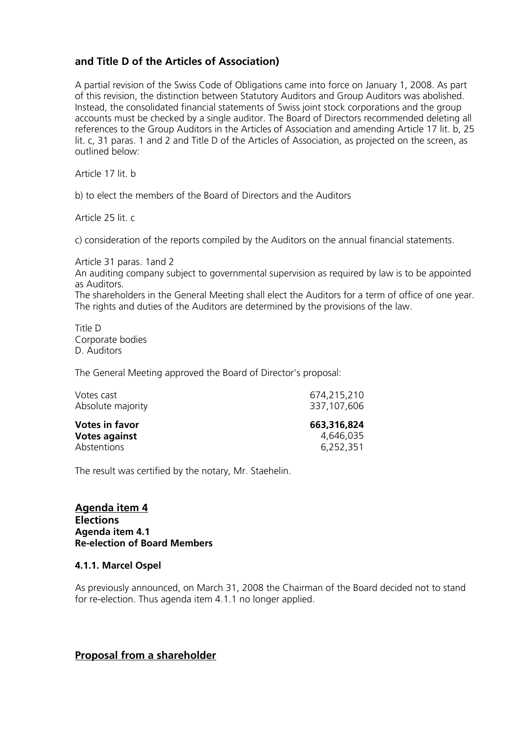# **and Title D of the Articles of Association)**

A partial revision of the Swiss Code of Obligations came into force on January 1, 2008. As part of this revision, the distinction between Statutory Auditors and Group Auditors was abolished. Instead, the consolidated financial statements of Swiss joint stock corporations and the group accounts must be checked by a single auditor. The Board of Directors recommended deleting all references to the Group Auditors in the Articles of Association and amending Article 17 lit. b, 25 lit. c, 31 paras. 1 and 2 and Title D of the Articles of Association, as projected on the screen, as outlined below:

Article 17 lit. b

b) to elect the members of the Board of Directors and the Auditors

Article 25 lit. c

c) consideration of the reports compiled by the Auditors on the annual financial statements.

Article 31 paras. 1and 2 An auditing company subject to governmental supervision as required by law is to be appointed as Auditors. The shareholders in the General Meeting shall elect the Auditors for a term of office of one year. The rights and duties of the Auditors are determined by the provisions of the law.

Title D Corporate bodies D. Auditors

The General Meeting approved the Board of Director's proposal:

| Votes cast<br>Absolute majority | 674,215,210<br>337,107,606 |
|---------------------------------|----------------------------|
| <b>Votes in favor</b>           | 663,316,824                |
| <b>Votes against</b>            | 4,646,035                  |
| <b>Abstentions</b>              | 6,252,351                  |

The result was certified by the notary, Mr. Staehelin.

**Agenda item 4 Elections Agenda item 4.1 Re-election of Board Members** 

#### **4.1.1. Marcel Ospel**

As previously announced, on March 31, 2008 the Chairman of the Board decided not to stand for re-election. Thus agenda item 4.1.1 no longer applied.

# **Proposal from a shareholder**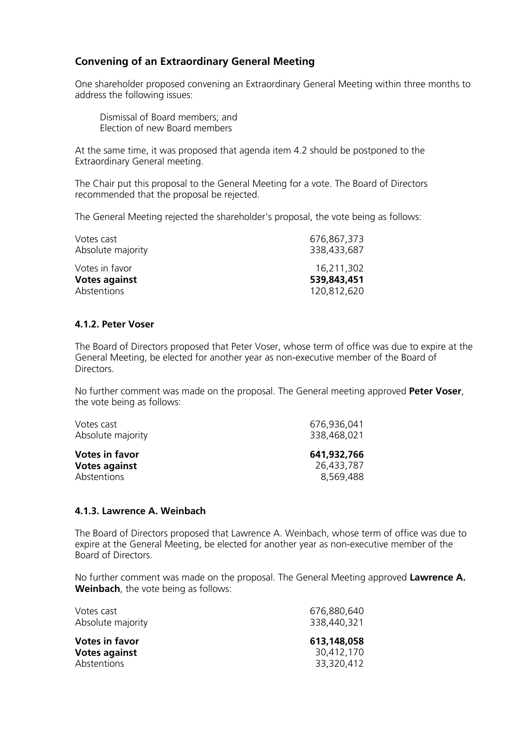# **Convening of an Extraordinary General Meeting**

One shareholder proposed convening an Extraordinary General Meeting within three months to address the following issues:

 Dismissal of Board members; and Election of new Board members

At the same time, it was proposed that agenda item 4.2 should be postponed to the Extraordinary General meeting.

The Chair put this proposal to the General Meeting for a vote. The Board of Directors recommended that the proposal be rejected.

The General Meeting rejected the shareholder's proposal, the vote being as follows:

| Votes cast           | 676,867,373 |
|----------------------|-------------|
| Absolute majority    | 338,433,687 |
| Votes in favor       | 16,211,302  |
| <b>Votes against</b> | 539,843,451 |
| Abstentions          | 120,812,620 |

### **4.1.2. Peter Voser**

The Board of Directors proposed that Peter Voser, whose term of office was due to expire at the General Meeting, be elected for another year as non-executive member of the Board of Directors.

No further comment was made on the proposal. The General meeting approved **Peter Voser**, the vote being as follows:

| Votes cast            | 676,936,041 |
|-----------------------|-------------|
| Absolute majority     | 338,468,021 |
| <b>Votes in favor</b> | 641,932,766 |
| <b>Votes against</b>  | 26,433,787  |
| <b>Abstentions</b>    | 8,569,488   |

#### **4.1.3. Lawrence A. Weinbach**

The Board of Directors proposed that Lawrence A. Weinbach, whose term of office was due to expire at the General Meeting, be elected for another year as non-executive member of the Board of Directors.

No further comment was made on the proposal. The General Meeting approved **Lawrence A. Weinbach**, the vote being as follows:

| Votes cast<br>Absolute majority | 676,880,640<br>338,440,321 |
|---------------------------------|----------------------------|
| <b>Votes in favor</b>           | 613,148,058                |
| <b>Votes against</b>            | 30,412,170                 |
| Abstentions                     | 33,320,412                 |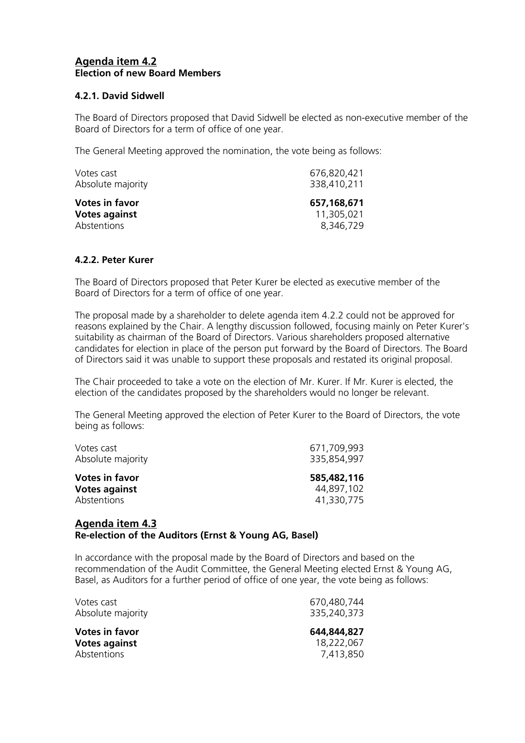# **Agenda item 4.2 Election of new Board Members**

### **4.2.1. David Sidwell**

The Board of Directors proposed that David Sidwell be elected as non-executive member of the Board of Directors for a term of office of one year.

The General Meeting approved the nomination, the vote being as follows:

| Votes cast<br>Absolute majority | 676,820,421<br>338,410,211 |
|---------------------------------|----------------------------|
| <b>Votes in favor</b>           | 657,168,671                |
| <b>Votes against</b>            | 11,305,021                 |
| Abstentions                     | 8,346,729                  |

### **4.2.2. Peter Kurer**

The Board of Directors proposed that Peter Kurer be elected as executive member of the Board of Directors for a term of office of one year.

The proposal made by a shareholder to delete agenda item 4.2.2 could not be approved for reasons explained by the Chair. A lengthy discussion followed, focusing mainly on Peter Kurer's suitability as chairman of the Board of Directors. Various shareholders proposed alternative candidates for election in place of the person put forward by the Board of Directors. The Board of Directors said it was unable to support these proposals and restated its original proposal.

The Chair proceeded to take a vote on the election of Mr. Kurer. If Mr. Kurer is elected, the election of the candidates proposed by the shareholders would no longer be relevant.

The General Meeting approved the election of Peter Kurer to the Board of Directors, the vote being as follows:

| Votes cast<br>Absolute majority | 671,709,993<br>335,854,997 |
|---------------------------------|----------------------------|
| <b>Votes in favor</b>           | 585,482,116                |
| <b>Votes against</b>            | 44,897,102                 |
| Abstentions                     | 41,330,775                 |

### **Agenda item 4.3 Re-election of the Auditors (Ernst & Young AG, Basel)**

In accordance with the proposal made by the Board of Directors and based on the recommendation of the Audit Committee, the General Meeting elected Ernst & Young AG, Basel, as Auditors for a further period of office of one year, the vote being as follows:

| 670,480,744<br>335,240,373 |
|----------------------------|
| 644,844,827                |
| 18,222,067                 |
| 7,413,850                  |
|                            |